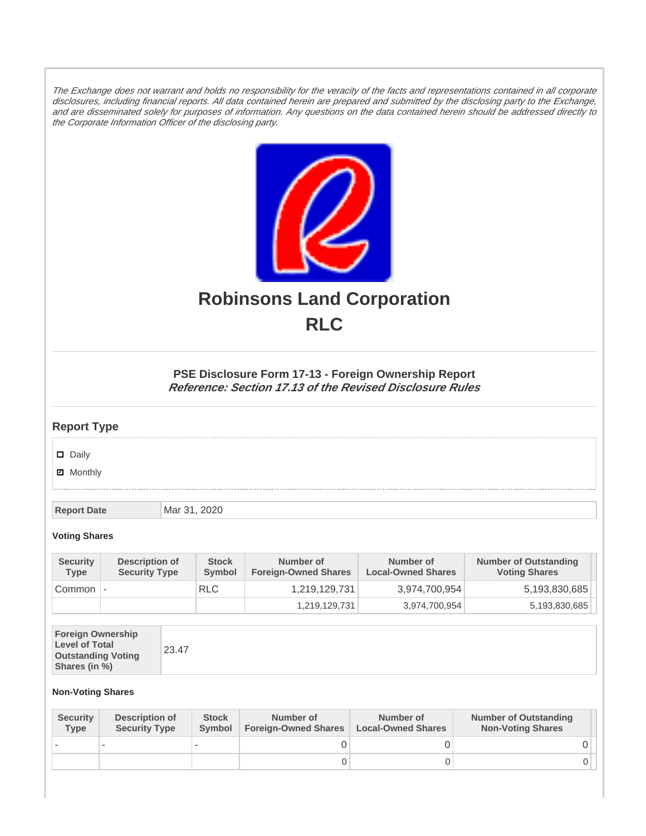The Exchange does not warrant and holds no responsibility for the veracity of the facts and representations contained in all corporate disclosures, including financial reports. All data contained herein are prepared and submitted by the disclosing party to the Exchange, and are disseminated solely for purposes of information. Any questions on the data contained herein should be addressed directly to the Corporate Information Officer of the disclosing party.



# **Robinsons Land Corporation RLC**

## **PSE Disclosure Form 17-13 - Foreign Ownership Report Reference: Section 17.13 of the Revised Disclosure Rules**

## **Report Type**

Daily

**Ø** Monthly

**Report Date Mar 31, 2020** 

#### **Voting Shares**

| <b>Security</b><br><b>Type</b> | Description of<br><b>Security Type</b> | <b>Stock</b><br>Symbol | Number of<br><b>Foreign-Owned Shares</b> | Number of<br><b>Local-Owned Shares</b> | <b>Number of Outstanding</b><br><b>Voting Shares</b> |
|--------------------------------|----------------------------------------|------------------------|------------------------------------------|----------------------------------------|------------------------------------------------------|
| Common                         |                                        | <b>RLC</b>             | 1,219,129,731                            | 3,974,700,954                          | 5,193,830,685                                        |
|                                |                                        |                        | 1,219,129,731                            | 3,974,700,954                          | 5,193,830,685                                        |

| <b>Foreign Ownership</b><br><b>Level of Total</b><br><b>Outstanding Voting</b><br>Shares (in %) |
|-------------------------------------------------------------------------------------------------|
|-------------------------------------------------------------------------------------------------|

### **Non-Voting Shares**

| <b>Security</b><br><b>Type</b> | Description of<br><b>Security Type</b> | <b>Stock</b><br><b>Symbol</b> | Number of<br><b>Foreign-Owned Shares</b> | Number of<br><b>Local-Owned Shares</b> | <b>Number of Outstanding</b><br><b>Non-Voting Shares</b> |
|--------------------------------|----------------------------------------|-------------------------------|------------------------------------------|----------------------------------------|----------------------------------------------------------|
|                                |                                        |                               |                                          |                                        |                                                          |
|                                |                                        |                               | O                                        |                                        |                                                          |